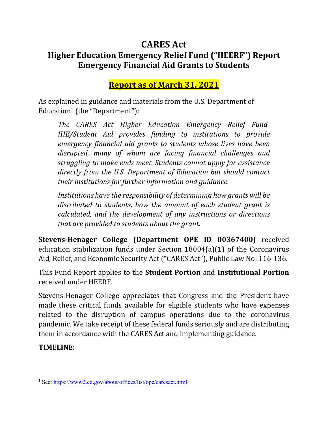# **CARES Act Higher Education Emergency Relief Fund ("HEERF") Report Emergency Financial Aid Grants to Students**

**Report as of March 31, 2021**

As explained in guidance and materials from the U.S. Department of Education1 (the "Department"):

*The CARES Act Higher Education Emergency Relief Fund‐ IHE/Student Aid provides funding to institutions to provide emergency financial aid grants to students whose lives have been disrupted, many of whom are facing financial challenges and struggling to make ends meet. Students cannot apply for assistance directly from the U.S. Department of Education but should contact their institutions for further information and guidance.* 

*Institutions have the responsibility of determining how grants will be distributed to students, how the amount of each student grant is calculated, and the development of any instructions or directions that are provided to students about the grant.*

**Stevens‐Henager College (Department OPE ID 00367400)** received education stabilization funds under Section 18004(a)(1) of the Coronavirus Aid, Relief, and Economic Security Act ("CARES Act"), Public Law No: 116-136.

This Fund Report applies to the **Student Portion** and **Institutional Portion** received under HEERF.

Stevens-Henager College appreciates that Congress and the President have made these critical funds available for eligible students who have expenses related to the disruption of campus operations due to the coronavirus pandemic. We take receipt of these federal funds seriously and are distributing them in accordance with the CARES Act and implementing guidance.

**TIMELINE:**

<sup>&</sup>lt;sup>1</sup> See: https://www2.ed.gov/about/offices/list/ope/caresact.html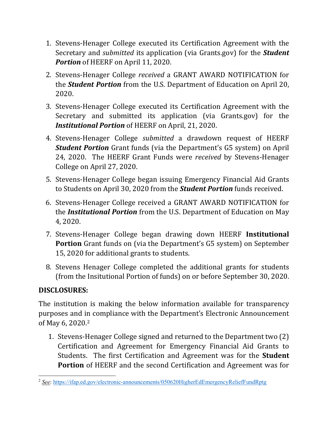- 1. Stevens-Henager College executed its Certification Agreement with the Secretary and *submitted* its application (via Grants.gov) for the *Student* **Portion** of HEERF on April 11, 2020.
- 2. Stevens-Henager College *received* a GRANT AWARD NOTIFICATION for the *Student Portion* from the U.S. Department of Education on April 20, 2020.
- 3. Stevens-Henager College executed its Certification Agreement with the Secretary and submitted its application (via Grants.gov) for the *Institutional Portion* of HEERF on April, 21, 2020.
- 4. Stevens-Henager College *submitted* a drawdown request of HEERF *Student Portion* Grant funds (via the Department's G5 system) on April 24, 2020. The HEERF Grant Funds were *received* by Stevens-Henager College on April 27, 2020.
- 5. Stevens-Henager College began issuing Emergency Financial Aid Grants to Students on April 30, 2020 from the *Student Portion* funds received.
- 6. Stevens-Henager College received a GRANT AWARD NOTIFICATION for the *Institutional Portion* from the U.S. Department of Education on May 4, 2020.
- 7. Stevens-Henager College began drawing down HEERF **Institutional Portion** Grant funds on (via the Department's G5 system) on September 15, 2020 for additional grants to students.
- 8. Stevens Henager College completed the additional grants for students (from the Insitutional Portion of funds) on or before September 30, 2020.

#### **DISCLOSURES:**

The institution is making the below information available for transparency purposes and in compliance with the Department's Electronic Announcement of May 6, 2020.2

1. Stevens-Henager College signed and returned to the Department two (2) Certification and Agreement for Emergency Financial Aid Grants to Students. The first Certification and Agreement was for the **Student Portion** of HEERF and the second Certification and Agreement was for

<sup>&</sup>lt;sup>2</sup> See: https://ifap.ed.gov/electronic-announcements/050620HigherEdEmergencyReliefFundRptg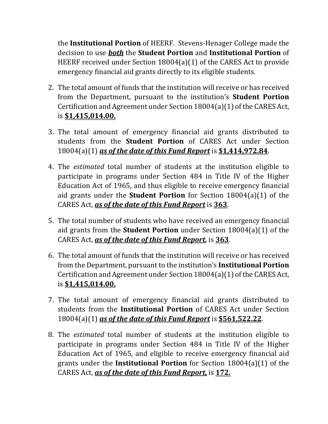the **Institutional Portion** of HEERF. Stevens-Henager College made the decision to use *both* the **Student Portion** and **Institutional Portion** of HEERF received under Section 18004(a)(1) of the CARES Act to provide emergency financial aid grants directly to its eligible students.

- 2. The total amount of funds that the institution will receive or has received from the Department, pursuant to the institution's **Student Portion** Certification and Agreement under Section 18004(a)(1) of the CARES Act, is **\$1,415,014.00.**
- 3. The total amount of emergency financial aid grants distributed to students from the **Student Portion** of CARES Act under Section 18004(a)(1) *as of the date of this Fund Report* is **\$1,414,972.84**.
- 4. The *estimated* total number of students at the institution eligible to participate in programs under Section 484 in Title IV of the Higher Education Act of 1965, and thus eligible to receive emergency financial aid grants under the **Student Portion** for Section 18004(a)(1) of the CARES Act, *as of the date of this Fund Report* is **363**.
- 5. The total number of students who have received an emergency financial aid grants from the **Student Portion** under Section 18004(a)(1) of the CARES Act, *as of the date of this Fund Report,* is **363**.
- 6. The total amount of funds that the institution will receive or has received from the Department, pursuant to the institution's **Institutional Portion** Certification and Agreement under Section 18004(a)(1) of the CARES Act, is **\$1,415,014.00.**
- 7. The total amount of emergency financial aid grants distributed to students from the **Institutional Portion** of CARES Act under Section 18004(a)(1) *as of the date of this Fund Report* is **\$561,522.22**.
- 8. The *estimated* total number of students at the institution eligible to participate in programs under Section 484 in Title IV of the Higher Education Act of 1965, and eligible to receive emergency financial aid grants under the **Institutional Portion** for Section 18004(a)(1) of the CARES Act, *as of the date of this Fund Report,* is **172.**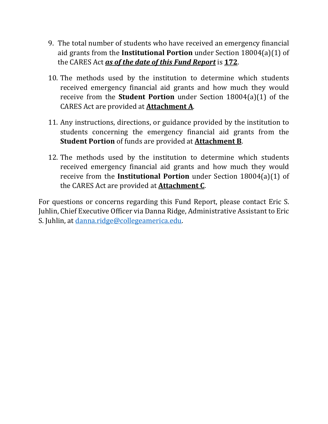- 9. The total number of students who have received an emergency financial aid grants from the **Institutional Portion** under Section 18004(a)(1) of the CARES Act *as of the date of this Fund Report* is **172**.
- 10. The methods used by the institution to determine which students received emergency financial aid grants and how much they would receive from the **Student Portion** under Section 18004(a)(1) of the CARES Act are provided at **Attachment A**.
- 11. Any instructions, directions, or guidance provided by the institution to students concerning the emergency financial aid grants from the **Student Portion** of funds are provided at **Attachment B**.
- 12. The methods used by the institution to determine which students received emergency financial aid grants and how much they would receive from the **Institutional Portion** under Section 18004(a)(1) of the CARES Act are provided at **Attachment C**.

For questions or concerns regarding this Fund Report, please contact Eric S. Juhlin, Chief Executive Officer via Danna Ridge, Administrative Assistant to Eric S. Juhlin, at danna.ridge@collegeamerica.edu.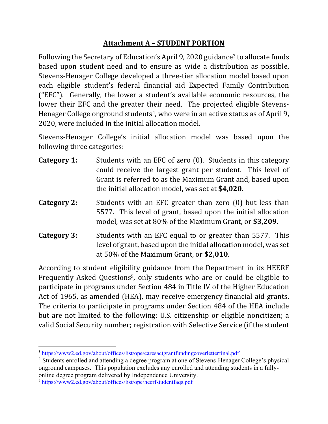#### **Attachment A – STUDENT PORTION**

Following the Secretary of Education's April 9, 2020 guidance3 to allocate funds based upon student need and to ensure as wide a distribution as possible, Stevens-Henager College developed a three-tier allocation model based upon each eligible student's federal financial aid Expected Family Contribution ("EFC"). Generally, the lower a student's available economic resources, the lower their EFC and the greater their need. The projected eligible Stevens-Henager College onground students<sup>4</sup>, who were in an active status as of April 9, 2020, were included in the initial allocation model.

Stevens-Henager College's initial allocation model was based upon the following three categories:

| Category 1: | Students with an EFC of zero (0). Students in this category<br>could receive the largest grant per student. This level of<br>Grant is referred to as the Maximum Grant and, based upon<br>the initial allocation model, was set at \$4,020. |
|-------------|---------------------------------------------------------------------------------------------------------------------------------------------------------------------------------------------------------------------------------------------|
| Category 2: | Students with an EFC greater than zero (0) but less than<br>5577. This level of grant, based upon the initial allocation<br>model, was set at 80% of the Maximum Grant, or \$3,209.                                                         |

**Category 3:** Students with an EFC equal to or greater than 5577. This level of grant, based upon the initial allocation model, was set at 50% of the Maximum Grant, or **\$2,010**.

According to student eligibility guidance from the Department in its HEERF Frequently Asked Questions5, only students who are or could be eligible to participate in programs under Section 484 in Title IV of the Higher Education Act of 1965, as amended (HEA), may receive emergency financial aid grants. The criteria to participate in programs under Section 484 of the HEA include but are not limited to the following: U.S. citizenship or eligible noncitizen; a valid Social Security number; registration with Selective Service (if the student

<sup>&</sup>lt;sup>3</sup> https://www2.ed.gov/about/offices/list/ope/caresactgrantfundingcoverletterfinal.pdf

<sup>&</sup>lt;sup>4</sup> Students enrolled and attending a degree program at one of Stevens-Henager College's physical onground campuses. This population excludes any enrolled and attending students in a fullyonline degree program delivered by Independence University.

<sup>5</sup> https://www2.ed.gov/about/offices/list/ope/heerfstudentfaqs.pdf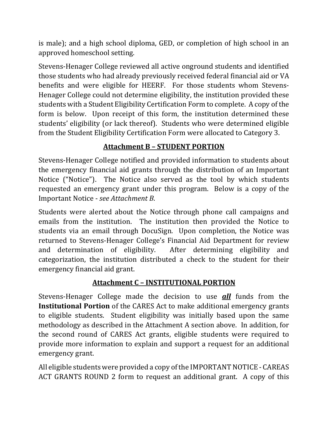is male); and a high school diploma, GED, or completion of high school in an approved homeschool setting.

Stevens-Henager College reviewed all active onground students and identified those students who had already previously received federal financial aid or VA benefits and were eligible for HEERF. For those students whom Stevens-Henager College could not determine eligibility, the institution provided these students with a Student Eligibility Certification Form to complete. A copy of the form is below. Upon receipt of this form, the institution determined these students' eligibility (or lack thereof). Students who were determined eligible from the Student Eligibility Certification Form were allocated to Category 3.

## **Attachment B – STUDENT PORTION**

Stevens-Henager College notified and provided information to students about the emergency financial aid grants through the distribution of an Important Notice ("Notice"). The Notice also served as the tool by which students requested an emergency grant under this program. Below is a copy of the Important Notice - *see Attachment B*.

Students were alerted about the Notice through phone call campaigns and emails from the institution. The institution then provided the Notice to students via an email through DocuSign. Upon completion, the Notice was returned to Stevens-Henager College's Financial Aid Department for review and determination of eligibility. After determining eligibility and categorization, the institution distributed a check to the student for their emergency financial aid grant.

## **Attachment C – INSTITUTIONAL PORTION**

Stevens-Henager College made the decision to use *all* funds from the **Institutional Portion** of the CARES Act to make additional emergency grants to eligible students. Student eligibility was initially based upon the same methodology as described in the Attachment A section above. In addition, for the second round of CARES Act grants, eligible students were required to provide more information to explain and support a request for an additional emergency grant.

All eligible students were provided a copy of the IMPORTANT NOTICE - CAREAS ACT GRANTS ROUND 2 form to request an additional grant. A copy of this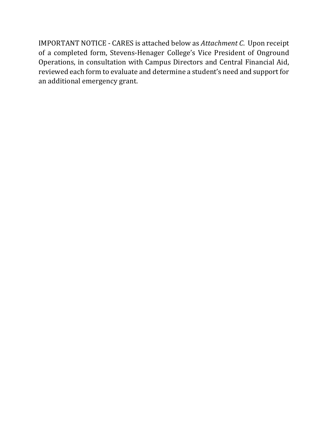IMPORTANT NOTICE - CARES is attached below as *Attachment C*. Upon receipt of a completed form, Stevens-Henager College's Vice President of Onground Operations, in consultation with Campus Directors and Central Financial Aid, reviewed each form to evaluate and determine a student's need and support for an additional emergency grant.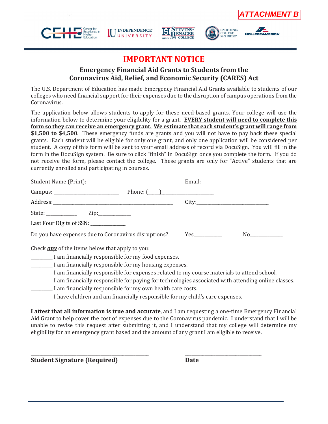









### **IMPORTANT NOTICE**

#### **Emergency Financial Aid Grants to Students from the Coronavirus Aid, Relief, and Economic Security (CARES) Act**

The U.S. Department of Education has made Emergency Financial Aid Grants available to students of our colleges who need financial support for their expenses due to the disruption of campus operations from the Coronavirus.

The application below allows students to apply for these need-based grants. Your college will use the information below to determine your eligibility for a grant. **EVERY student will need to complete this form so they can receive an emergency grant. We estimate that each student's grant will range from \$1,500 to \$4,500**. These emergency funds are grants and you will not have to pay back these special grants. Each student will be eligible for only one grant, and only one application will be considered per student. A copy of this form will be sent to your email address of record via DocuSign. You will fill in the form in the DocuSign system. Be sure to click "finish" in DocuSign once you complete the form. If you do not receive the form, please contact the college. These grants are only for "Active" students that are currently enrolled and participating in courses.

| Last Four Digits of SSN: _____________                         |  |
|----------------------------------------------------------------|--|
| Do you have expenses due to Coronavirus disruptions? Yes       |  |
| Check <b>any</b> of the items below that apply to you:         |  |
| ___________ I am financially responsible for my food expenses. |  |

- \_\_\_\_\_\_\_\_\_\_ I am financially responsible for my housing expenses.
- \_\_\_\_\_\_\_\_\_\_ I am financially responsible for expenses related to my course materials to attend school.
- I am financially responsible for paying for technologies associated with attending online classes.
- \_\_\_\_\_\_\_\_\_\_ I am financially responsible for my own health care costs.
- \_\_\_\_\_\_\_\_\_\_ I have children and am financially responsible for my child's care expenses.

\_\_\_\_\_\_\_\_\_\_\_\_\_\_\_\_\_\_\_\_\_\_\_\_\_\_\_\_\_\_\_\_\_\_\_\_\_\_\_\_\_\_\_\_\_\_\_\_\_\_\_\_\_\_ \_\_\_\_\_\_\_\_\_\_\_\_\_\_\_\_\_\_\_\_\_\_\_\_\_\_\_\_\_\_\_\_\_\_\_

**I attest that all information is true and accurate**, and I am requesting a one-time Emergency Financial Aid Grant to help cover the cost of expenses due to the Coronavirus pandemic. I understand that I will be unable to revise this request after submitting it, and I understand that my college will determine my eligibility for an emergency grant based and the amount of any grant I am eligible to receive.

**Student Signature (Required) Date**